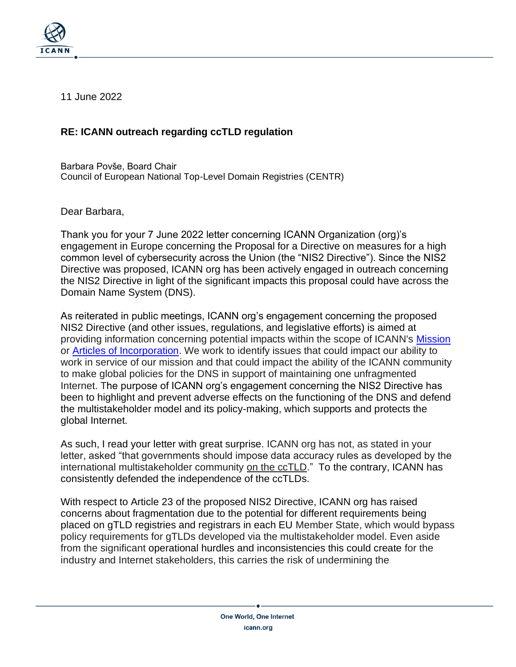

11 June 2022

## **RE: ICANN outreach regarding ccTLD regulation**

Barbara Povše, Board Chair Council of European National Top-Level Domain Registries (CENTR)

Dear Barbara,

Thank you for your 7 June 2022 letter concerning ICANN Organization (org)'s engagement in Europe concerning the Proposal for a Directive on measures for a high common level of cybersecurity across the Union (the "NIS2 Directive"). Since the NIS2 Directive was proposed, ICANN org has been actively engaged in outreach concerning the NIS2 Directive in light of the significant impacts this proposal could have across the Domain Name System (DNS).

As reiterated in public meetings, ICANN org's engagement concerning the proposed NIS2 Directive (and other issues, regulations, and legislative efforts) is aimed at providing information concerning potential impacts within the scope of ICANN's [Mission](https://www.icann.org/resources/pages/governance/bylaws-en/#article1) or Articles of [Incorporation.](https://www.icann.org/resources/pages/governance/articles-en) We work to identify issues that could impact our ability to work in service of our mission and that could impact the ability of the ICANN community to make global policies for the DNS in support of maintaining one unfragmented Internet. The purpose of ICANN org's engagement concerning the NIS2 Directive has been to highlight and prevent adverse effects on the functioning of the DNS and defend the multistakeholder model and its policy-making, which supports and protects the global Internet.

As such, I read your letter with great surprise. ICANN org has not, as stated in your letter, asked "that governments should impose data accuracy rules as developed by the international multistakeholder community on the ccTLD." To the contrary, ICANN has consistently defended the independence of the ccTLDs.

With respect to Article 23 of the proposed NIS2 Directive, ICANN org has raised concerns about fragmentation due to the potential for different requirements being placed on gTLD registries and registrars in each EU Member State, which would bypass policy requirements for gTLDs developed via the multistakeholder model. Even aside from the significant operational hurdles and inconsistencies this could create for the industry and Internet stakeholders, this carries the risk of undermining the